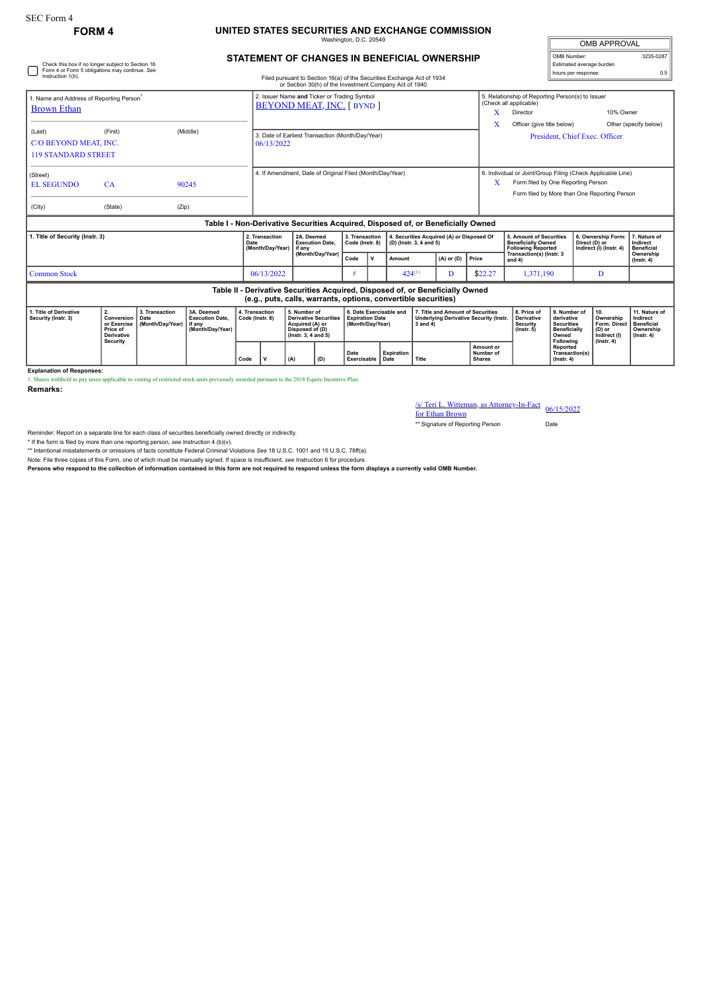Check this box if no longer subject to Section 16. Form 4 or Form 5 obligations may continue. *See*

## **FORM 4 UNITED STATES SECURITIES AND EXCHANGE COMMISSION** Washington, D.C. 20549

| <b>OMB APPROVAL</b>      |           |  |  |  |  |  |  |  |  |
|--------------------------|-----------|--|--|--|--|--|--|--|--|
| OMB Number:              | 3235-0287 |  |  |  |  |  |  |  |  |
| Estimated average burden |           |  |  |  |  |  |  |  |  |
| hours per response:      | ሰ 5       |  |  |  |  |  |  |  |  |

| STATEMENT OF CHANGES IN BENEFICIAL OWNERSHIP |  |
|----------------------------------------------|--|
|                                              |  |

| Instruction 1(b).                                                                                                                               |                                                                                  |                                                                                  |                                                                    | Filed pursuant to Section 16(a) of the Securities Exchange Act of 1934<br>or Section 30(h) of the Investment Company Act of 1940 |                                                                |                                                                                                              |                  |                                                                       |              |                                                                      |                                                                                                     |                |                                                                                                                                                   | nours por response.                                                                                           |                                                                                 |                                                               | $\mathsf{v} \cdot \mathsf{v}$                                                         |                                                                                 |
|-------------------------------------------------------------------------------------------------------------------------------------------------|----------------------------------------------------------------------------------|----------------------------------------------------------------------------------|--------------------------------------------------------------------|----------------------------------------------------------------------------------------------------------------------------------|----------------------------------------------------------------|--------------------------------------------------------------------------------------------------------------|------------------|-----------------------------------------------------------------------|--------------|----------------------------------------------------------------------|-----------------------------------------------------------------------------------------------------|----------------|---------------------------------------------------------------------------------------------------------------------------------------------------|---------------------------------------------------------------------------------------------------------------|---------------------------------------------------------------------------------|---------------------------------------------------------------|---------------------------------------------------------------------------------------|---------------------------------------------------------------------------------|
| 1. Name and Address of Reporting Person <sup>®</sup><br><b>Brown Ethan</b>                                                                      |                                                                                  | 2. Issuer Name and Ticker or Trading Symbol<br><b>BEYOND MEAT, INC. [ BYND ]</b> |                                                                    |                                                                                                                                  |                                                                |                                                                                                              |                  |                                                                       |              | x                                                                    | 5. Relationship of Reporting Person(s) to Issuer<br>(Check all applicable)<br>10% Owner<br>Director |                |                                                                                                                                                   |                                                                                                               |                                                                                 |                                                               |                                                                                       |                                                                                 |
| (Last)<br>C/O BEYOND MEAT. INC.<br><b>119 STANDARD STREET</b>                                                                                   | (First)                                                                          |                                                                                  | (Middle)                                                           |                                                                                                                                  | 3. Date of Earliest Transaction (Month/Day/Year)<br>06/13/2022 |                                                                                                              |                  |                                                                       |              |                                                                      |                                                                                                     |                |                                                                                                                                                   | Officer (give title below)<br>Other (specify below)<br>President, Chief Exec. Officer                         |                                                                                 |                                                               |                                                                                       |                                                                                 |
| (Street)<br><b>EL SEGUNDO</b><br>(City)                                                                                                         | CA<br>(State)                                                                    | (Zip)                                                                            | 90245                                                              |                                                                                                                                  | 4. If Amendment, Date of Original Filed (Month/Day/Year)       |                                                                                                              |                  |                                                                       |              |                                                                      |                                                                                                     | x              | 6. Individual or Joint/Group Filing (Check Applicable Line)<br>Form filed by One Reporting Person<br>Form filed by More than One Reporting Person |                                                                                                               |                                                                                 |                                                               |                                                                                       |                                                                                 |
|                                                                                                                                                 | Table I - Non-Derivative Securities Acquired, Disposed of, or Beneficially Owned |                                                                                  |                                                                    |                                                                                                                                  |                                                                |                                                                                                              |                  |                                                                       |              |                                                                      |                                                                                                     |                |                                                                                                                                                   |                                                                                                               |                                                                                 |                                                               |                                                                                       |                                                                                 |
| 1. Title of Security (Instr. 3)<br>Date                                                                                                         |                                                                                  |                                                                                  |                                                                    |                                                                                                                                  | 2. Transaction<br>(Month/Day/Year)                             | 2A. Deemed<br><b>Execution Date.</b><br>if any                                                               |                  | 3. Transaction<br>Code (Instr. 8)                                     |              | 4. Securities Acquired (A) or Disposed Of<br>(D) (Instr. 3, 4 and 5) |                                                                                                     |                |                                                                                                                                                   | 5. Amount of Securities<br><b>Beneficially Owned</b><br><b>Following Reported</b><br>Transaction(s) (Instr. 3 |                                                                                 | 6. Ownership Form<br>Direct (D) or<br>Indirect (I) (Instr. 4) |                                                                                       | 7. Nature of<br>Indirect<br><b>Beneficial</b>                                   |
|                                                                                                                                                 |                                                                                  |                                                                                  |                                                                    |                                                                                                                                  |                                                                |                                                                                                              | (Month/Day/Year) |                                                                       | $\mathsf{v}$ | Amount                                                               |                                                                                                     | $(A)$ or $(D)$ | Price                                                                                                                                             | and 4)                                                                                                        |                                                                                 |                                                               |                                                                                       | Ownership<br>$($ Instr. 4 $)$                                                   |
| <b>Common Stock</b>                                                                                                                             |                                                                                  |                                                                                  |                                                                    |                                                                                                                                  | 06/13/2022                                                     |                                                                                                              | F                |                                                                       | $424^{(1)}$  |                                                                      | D                                                                                                   | \$22.27        | 1.371.190                                                                                                                                         |                                                                                                               | D                                                                               |                                                               |                                                                                       |                                                                                 |
| Table II - Derivative Securities Acquired, Disposed of, or Beneficially Owned<br>(e.g., puts, calls, warrants, options, convertible securities) |                                                                                  |                                                                                  |                                                                    |                                                                                                                                  |                                                                |                                                                                                              |                  |                                                                       |              |                                                                      |                                                                                                     |                |                                                                                                                                                   |                                                                                                               |                                                                                 |                                                               |                                                                                       |                                                                                 |
| 1. Title of Derivative<br>Security (Instr. 3)                                                                                                   | 2.<br>Conversion<br>or Exercise<br>Price of<br><b>Derivative</b><br>Security     | 3. Transaction<br>Date<br>(Month/Day/Year)                                       | 3A. Deemed<br><b>Execution Date.</b><br>if anv<br>(Month/Dav/Year) | 4. Transaction<br>Code (Instr. 8)                                                                                                |                                                                | 5. Number of<br><b>Derivative Securities</b><br>Acquired (A) or<br>Disposed of (D)<br>$($ lnstr. 3. 4 and 5) |                  | 6. Date Exercisable and<br><b>Expiration Date</b><br>(Month/Day/Year) |              |                                                                      | 7. Title and Amount of Securities<br><b>Underlying Derivative Security (Instr.</b><br>$3$ and $4)$  |                |                                                                                                                                                   | 8. Price of<br><b>Derivative</b><br><b>Security</b><br>$($ lnstr $, 5)$                                       | 9. Number of<br>derivative<br><b>Securities</b><br><b>Beneficially</b><br>Owned |                                                               | 10.<br>Ownership<br><b>Form: Direct</b><br>(D) or<br>Indirect (I)<br>$($ lnstr. 4 $)$ | 11. Nature of<br>Indirect<br><b>Beneficial</b><br>Ownership<br>$($ lnstr. 4 $)$ |
|                                                                                                                                                 |                                                                                  |                                                                                  |                                                                    | Code                                                                                                                             | v                                                              | (A)                                                                                                          | (D)              | Date<br>Exercisable<br>Date                                           |              | Expiration                                                           | Title                                                                                               |                | Amount or<br>Number of<br><b>Shares</b>                                                                                                           |                                                                                                               | Following<br>Reported<br>Transaction(s)<br>$($ Instr. 4 $)$                     |                                                               |                                                                                       |                                                                                 |

**Explanation of Responses:**

1. Shares withheld to pay taxes applicable to vesting of restricted stock units previously awarded pursuant to the 2018 Equity Incentive Plan.

**Remarks:**

/s/ Teri L. Witteman, as Attorney-In-Fact 06/15/2022<br>for Ethan Brown

\*\* Signature of Reporting Person Date

Reminder: Report on a separate line for each class of securities beneficially owned directly or indirectly.

\* If the form is filed by more than one reporting person, *see* Instruction 4 (b)(v).

\*\* Intentional misstatements or omissions of facts constitute Federal Criminal Violations *See* 18 U.S.C. 1001 and 15 U.S.C. 78ff(a).

Note: File three copies of this Form, one of which must be manually signed. If space is insufficient, *see* Instruction 6 for procedure.

**Persons who respond to the collection of information contained in this form are not required to respond unless the form displays a currently valid OMB Number.**